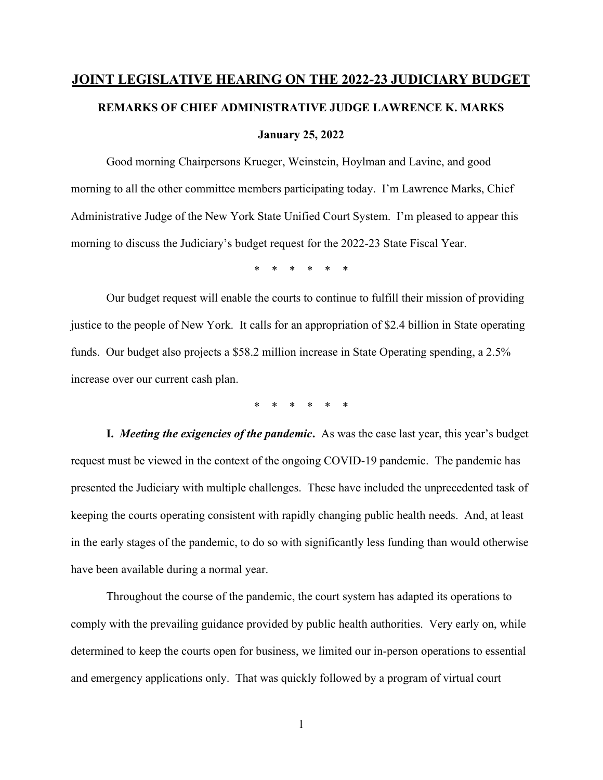## JOINT LEGISLATIVE HEARING ON THE 2022-23 JUDICIARY BUDGET REMARKS OF CHIEF ADMINISTRATIVE JUDGE LAWRENCE K. MARKS January 25, 2022

 Good morning Chairpersons Krueger, Weinstein, Hoylman and Lavine, and good morning to all the other committee members participating today. I'm Lawrence Marks, Chief Administrative Judge of the New York State Unified Court System. I'm pleased to appear this morning to discuss the Judiciary's budget request for the 2022-23 State Fiscal Year.

\* \* \* \* \* \*

 Our budget request will enable the courts to continue to fulfill their mission of providing justice to the people of New York. It calls for an appropriation of \$2.4 billion in State operating funds. Our budget also projects a \$58.2 million increase in State Operating spending, a 2.5% increase over our current cash plan.

\* \* \* \* \* \*

I. Meeting the exigencies of the pandemic. As was the case last year, this year's budget request must be viewed in the context of the ongoing COVID-19 pandemic. The pandemic has presented the Judiciary with multiple challenges. These have included the unprecedented task of keeping the courts operating consistent with rapidly changing public health needs. And, at least in the early stages of the pandemic, to do so with significantly less funding than would otherwise have been available during a normal year.

 Throughout the course of the pandemic, the court system has adapted its operations to comply with the prevailing guidance provided by public health authorities. Very early on, while determined to keep the courts open for business, we limited our in-person operations to essential and emergency applications only. That was quickly followed by a program of virtual court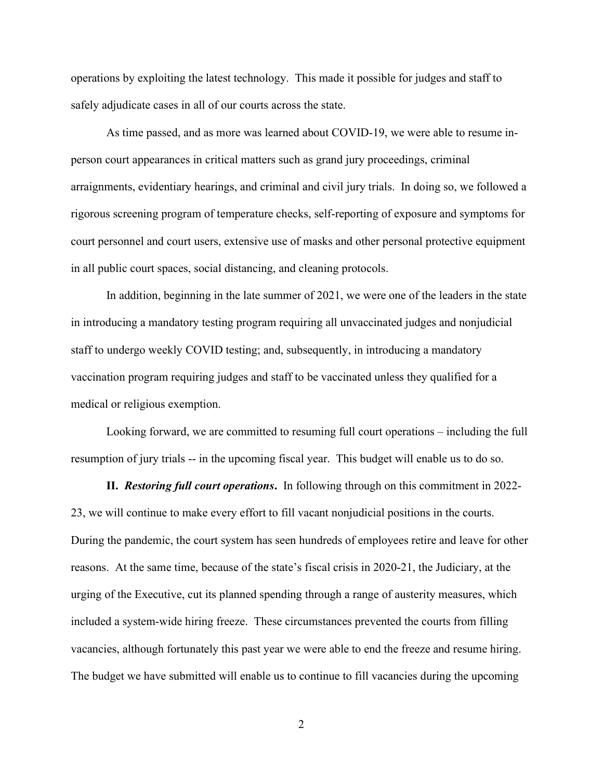operations by exploiting the latest technology. This made it possible for judges and staff to safely adjudicate cases in all of our courts across the state.

 As time passed, and as more was learned about COVID-19, we were able to resume inperson court appearances in critical matters such as grand jury proceedings, criminal arraignments, evidentiary hearings, and criminal and civil jury trials. In doing so, we followed a rigorous screening program of temperature checks, self-reporting of exposure and symptoms for court personnel and court users, extensive use of masks and other personal protective equipment in all public court spaces, social distancing, and cleaning protocols.

 In addition, beginning in the late summer of 2021, we were one of the leaders in the state in introducing a mandatory testing program requiring all unvaccinated judges and nonjudicial staff to undergo weekly COVID testing; and, subsequently, in introducing a mandatory vaccination program requiring judges and staff to be vaccinated unless they qualified for a medical or religious exemption.

 Looking forward, we are committed to resuming full court operations – including the full resumption of jury trials -- in the upcoming fiscal year. This budget will enable us to do so.

II. Restoring full court operations. In following through on this commitment in 2022-23, we will continue to make every effort to fill vacant nonjudicial positions in the courts. During the pandemic, the court system has seen hundreds of employees retire and leave for other reasons. At the same time, because of the state's fiscal crisis in 2020-21, the Judiciary, at the urging of the Executive, cut its planned spending through a range of austerity measures, which included a system-wide hiring freeze. These circumstances prevented the courts from filling vacancies, although fortunately this past year we were able to end the freeze and resume hiring. The budget we have submitted will enable us to continue to fill vacancies during the upcoming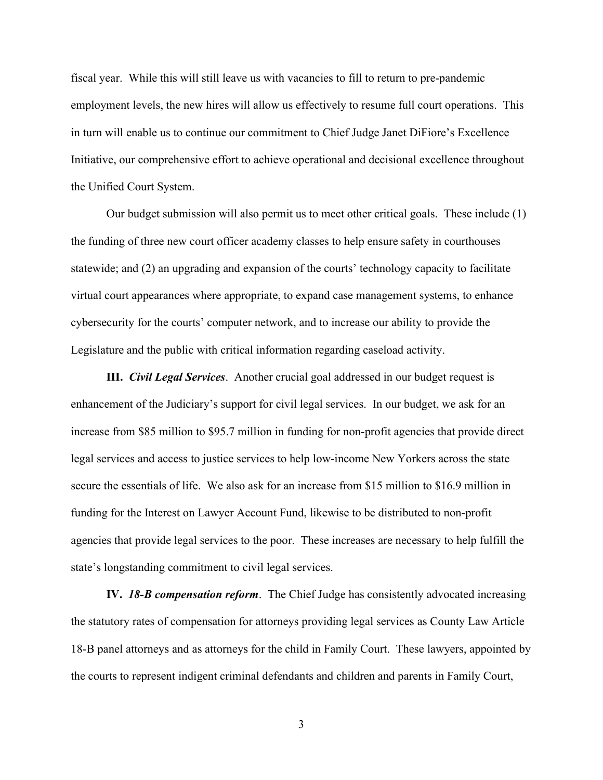fiscal year. While this will still leave us with vacancies to fill to return to pre-pandemic employment levels, the new hires will allow us effectively to resume full court operations. This in turn will enable us to continue our commitment to Chief Judge Janet DiFiore's Excellence Initiative, our comprehensive effort to achieve operational and decisional excellence throughout the Unified Court System.

 Our budget submission will also permit us to meet other critical goals. These include (1) the funding of three new court officer academy classes to help ensure safety in courthouses statewide; and (2) an upgrading and expansion of the courts' technology capacity to facilitate virtual court appearances where appropriate, to expand case management systems, to enhance cybersecurity for the courts' computer network, and to increase our ability to provide the Legislature and the public with critical information regarding caseload activity.

**III.** Civil Legal Services. Another crucial goal addressed in our budget request is enhancement of the Judiciary's support for civil legal services. In our budget, we ask for an increase from \$85 million to \$95.7 million in funding for non-profit agencies that provide direct legal services and access to justice services to help low-income New Yorkers across the state secure the essentials of life. We also ask for an increase from \$15 million to \$16.9 million in funding for the Interest on Lawyer Account Fund, likewise to be distributed to non-profit agencies that provide legal services to the poor. These increases are necessary to help fulfill the state's longstanding commitment to civil legal services.

IV. 18-B compensation reform. The Chief Judge has consistently advocated increasing the statutory rates of compensation for attorneys providing legal services as County Law Article 18-B panel attorneys and as attorneys for the child in Family Court. These lawyers, appointed by the courts to represent indigent criminal defendants and children and parents in Family Court,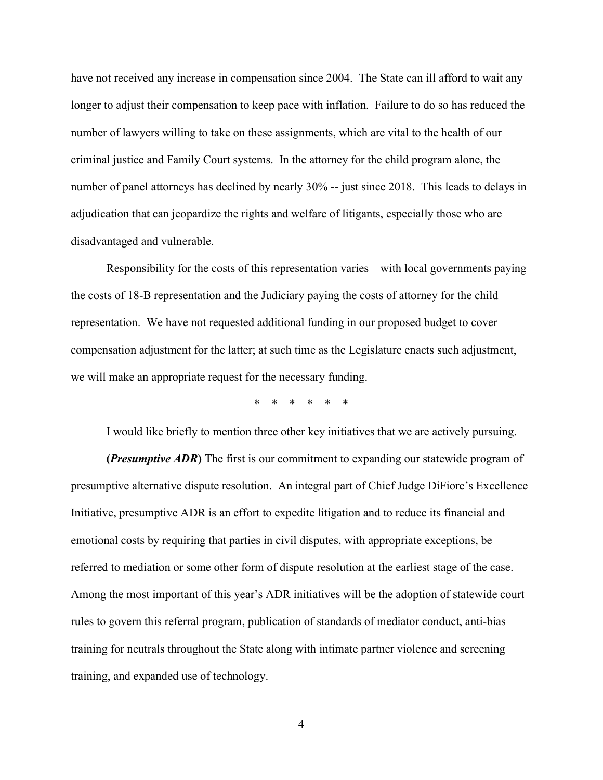have not received any increase in compensation since 2004. The State can ill afford to wait any longer to adjust their compensation to keep pace with inflation. Failure to do so has reduced the number of lawyers willing to take on these assignments, which are vital to the health of our criminal justice and Family Court systems. In the attorney for the child program alone, the number of panel attorneys has declined by nearly 30% -- just since 2018. This leads to delays in adjudication that can jeopardize the rights and welfare of litigants, especially those who are disadvantaged and vulnerable.

 Responsibility for the costs of this representation varies – with local governments paying the costs of 18-B representation and the Judiciary paying the costs of attorney for the child representation. We have not requested additional funding in our proposed budget to cover compensation adjustment for the latter; at such time as the Legislature enacts such adjustment, we will make an appropriate request for the necessary funding.

\* \* \* \* \* \*

I would like briefly to mention three other key initiatives that we are actively pursuing.

(*Presumptive ADR*) The first is our commitment to expanding our statewide program of presumptive alternative dispute resolution. An integral part of Chief Judge DiFiore's Excellence Initiative, presumptive ADR is an effort to expedite litigation and to reduce its financial and emotional costs by requiring that parties in civil disputes, with appropriate exceptions, be referred to mediation or some other form of dispute resolution at the earliest stage of the case. Among the most important of this year's ADR initiatives will be the adoption of statewide court rules to govern this referral program, publication of standards of mediator conduct, anti-bias training for neutrals throughout the State along with intimate partner violence and screening training, and expanded use of technology.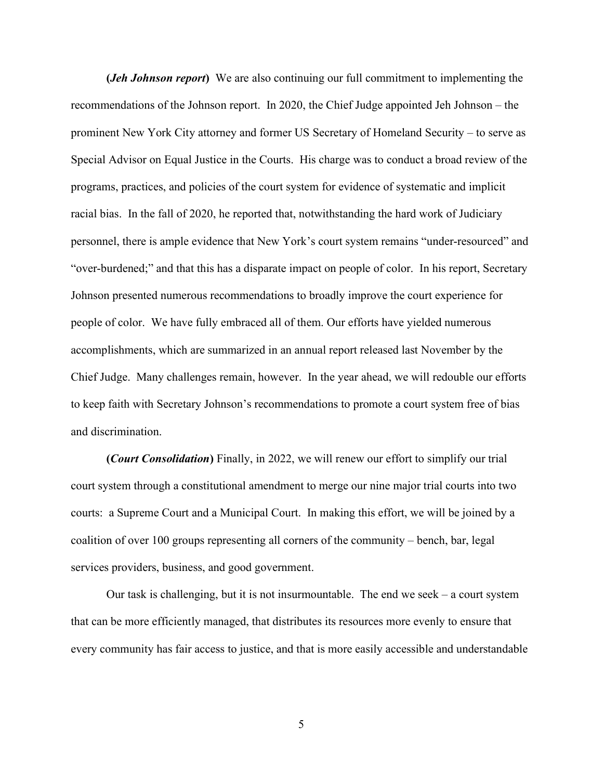(*Jeh Johnson report*) We are also continuing our full commitment to implementing the recommendations of the Johnson report. In 2020, the Chief Judge appointed Jeh Johnson – the prominent New York City attorney and former US Secretary of Homeland Security – to serve as Special Advisor on Equal Justice in the Courts. His charge was to conduct a broad review of the programs, practices, and policies of the court system for evidence of systematic and implicit racial bias. In the fall of 2020, he reported that, notwithstanding the hard work of Judiciary personnel, there is ample evidence that New York's court system remains "under-resourced" and "over-burdened;" and that this has a disparate impact on people of color. In his report, Secretary Johnson presented numerous recommendations to broadly improve the court experience for people of color. We have fully embraced all of them. Our efforts have yielded numerous accomplishments, which are summarized in an annual report released last November by the Chief Judge. Many challenges remain, however. In the year ahead, we will redouble our efforts to keep faith with Secretary Johnson's recommendations to promote a court system free of bias and discrimination.

(Court Consolidation) Finally, in 2022, we will renew our effort to simplify our trial court system through a constitutional amendment to merge our nine major trial courts into two courts: a Supreme Court and a Municipal Court. In making this effort, we will be joined by a coalition of over 100 groups representing all corners of the community – bench, bar, legal services providers, business, and good government.

Our task is challenging, but it is not insurmountable. The end we seek  $-$  a court system that can be more efficiently managed, that distributes its resources more evenly to ensure that every community has fair access to justice, and that is more easily accessible and understandable